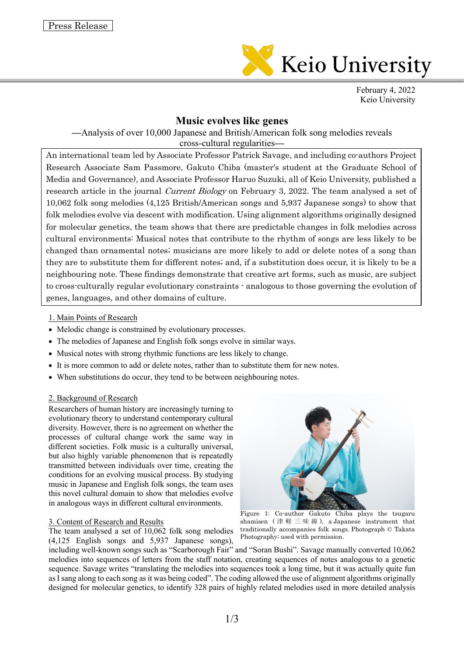

February 4, 2022 Keio University

# **Music evolves like genes**

**—**Analysis of over 10,000 Japanese and British/American folk song melodies reveals cross-cultural regularities**—**

An international team led by Associate Professor Patrick Savage, and including co-authors Project Research Associate Sam Passmore, Gakuto Chiba (master's student at the Graduate School of Media and Governance), and Associate Professor Haruo Suzuki, all of Keio University, published a research article in the journal Current Biology on February 3, 2022. The team analysed a set of 10,062 folk song melodies (4,125 British/American songs and 5,937 Japanese songs) to show that folk melodies evolve via descent with modification. Using alignment algorithms originally designed for molecular genetics, the team shows that there are predictable changes in folk melodies across cultural environments: Musical notes that contribute to the rhythm of songs are less likely to be changed than ornamental notes; musicians are more likely to add or delete notes of a song than they are to substitute them for different notes; and, if a substitution does occur, it is likely to be a neighbouring note. These findings demonstrate that creative art forms, such as music, are subject to cross-culturally regular evolutionary constraints - analogous to those governing the evolution of genes, languages, and other domains of culture.

1. Main Points of Research

- Melodic change is constrained by evolutionary processes.
- The melodies of Japanese and English folk songs evolve in similar ways.
- Musical notes with strong rhythmic functions are less likely to change.
- It is more common to add or delete notes, rather than to substitute them for new notes.
- When substitutions do occur, they tend to be between neighbouring notes.

### 2. Background of Research

Researchers of human history are increasingly turning to evolutionary theory to understand contemporary cultural diversity. However, there is no agreement on whether the processes of cultural change work the same way in different societies. Folk music is a culturally universal, but also highly variable phenomenon that is repeatedly transmitted between individuals over time, creating the conditions for an evolving musical process. By studying music in Japanese and English folk songs, the team uses this novel cultural domain to show that melodies evolve in analogous ways in different cultural environments.

### 3. Content of Research and Results

The team analysed a set of 10,062 folk song melodies (4,125 English songs and 5,937 Japanese songs),



Figure 1: Co-author Gakuto Chiba plays the tsugaru shamisen ( 津軽三味線 ), a Japanese instrument that traditionally accompanies folk songs. Photograph © Takata Photography; used with permission.

including well-known songs such as "Scarborough Fair" and "Soran Bushi". Savage manually converted 10,062 melodies into sequences of letters from the staff notation, creating sequences of notes analogous to a genetic sequence. Savage writes "translating the melodies into sequences took a long time, but it was actually quite fun as I sang along to each song as it was being coded". The coding allowed the use of alignment algorithms originally designed for molecular genetics, to identify 328 pairs of highly related melodies used in more detailed analysis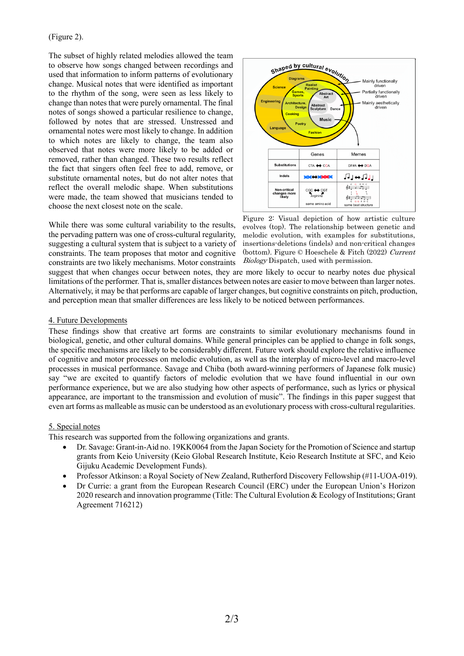## (Figure 2).

The subset of highly related melodies allowed the team to observe how songs changed between recordings and used that information to inform patterns of evolutionary change. Musical notes that were identified as important to the rhythm of the song, were seen as less likely to change than notes that were purely ornamental. The final notes of songs showed a particular resilience to change, followed by notes that are stressed. Unstressed and ornamental notes were most likely to change. In addition to which notes are likely to change, the team also observed that notes were more likely to be added or removed, rather than changed. These two results reflect the fact that singers often feel free to add, remove, or substitute ornamental notes, but do not alter notes that reflect the overall melodic shape. When substitutions were made, the team showed that musicians tended to choose the next closest note on the scale.

While there was some cultural variability to the results, the pervading pattern was one of cross-cultural regularity, suggesting a cultural system that is subject to a variety of constraints. The team proposes that motor and cognitive constraints are two likely mechanisms. Motor constraints



Figure 2: Visual depiction of how artistic culture evolves (top). The relationship between genetic and melodic evolution, with examples for substitutions, insertions-deletions (indels) and non-critical changes (bottom). Figure © Hoeschele & Fitch (2022) Current Biology Dispatch, used with permission.

suggest that when changes occur between notes, they are more likely to occur to nearby notes due physical limitations of the performer. That is, smaller distances between notes are easier to move between than larger notes. Alternatively, it may be that performs are capable of larger changes, but cognitive constraints on pitch, production, and perception mean that smaller differences are less likely to be noticed between performances.

## 4. Future Developments

These findings show that creative art forms are constraints to similar evolutionary mechanisms found in biological, genetic, and other cultural domains. While general principles can be applied to change in folk songs, the specific mechanisms are likely to be considerably different. Future work should explore the relative influence of cognitive and motor processes on melodic evolution, as well as the interplay of micro-level and macro-level processes in musical performance. Savage and Chiba (both award-winning performers of Japanese folk music) say "we are excited to quantify factors of melodic evolution that we have found influential in our own performance experience, but we are also studying how other aspects of performance, such as lyrics or physical appearance, are important to the transmission and evolution of music". The findings in this paper suggest that even art forms as malleable as music can be understood as an evolutionary process with cross-cultural regularities.

## 5. Special notes

This research was supported from the following organizations and grants.

- Dr. Savage: Grant-in-Aid no. 19KK0064 from the Japan Society for the Promotion of Science and startup grants from Keio University (Keio Global Research Institute, Keio Research Institute at SFC, and Keio Gijuku Academic Development Funds).
- Professor Atkinson: a Royal Society of New Zealand, Rutherford Discovery Fellowship (#11-UOA-019).
- Dr Currie: a grant from the European Research Council (ERC) under the European Union's Horizon 2020 research and innovation programme (Title: The Cultural Evolution & Ecology of Institutions; Grant Agreement 716212)